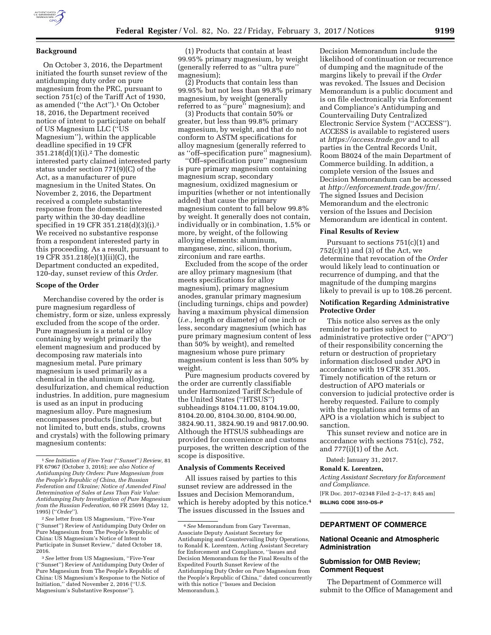# **Background**

On October 3, 2016, the Department initiated the fourth sunset review of the antidumping duty order on pure magnesium from the PRC, pursuant to section 751(c) of the Tariff Act of 1930, as amended (''the Act'').1 On October 18, 2016, the Department received notice of intent to participate on behalf of US Magnesium LLC (''US Magnesium''), within the applicable deadline specified in 19 CFR 351.218(d)(1)(i).2 The domestic interested party claimed interested party status under section 771(9)(C) of the Act, as a manufacturer of pure magnesium in the United States. On November 2, 2016, the Department received a complete substantive response from the domestic interested party within the 30-day deadline specified in 19 CFR 351.218(d)(3)(i).3 We received no substantive response from a respondent interested party in this proceeding. As a result, pursuant to 19 CFR 351.218(e)(1)(ii)(C), the Department conducted an expedited, 120-day, sunset review of this *Order.* 

#### **Scope of the Order**

Merchandise covered by the order is pure magnesium regardless of chemistry, form or size, unless expressly excluded from the scope of the order. Pure magnesium is a metal or alloy containing by weight primarily the element magnesium and produced by decomposing raw materials into magnesium metal. Pure primary magnesium is used primarily as a chemical in the aluminum alloying, desulfurization, and chemical reduction industries. In addition, pure magnesium is used as an input in producing magnesium alloy. Pure magnesium encompasses products (including, but not limited to, butt ends, stubs, crowns and crystals) with the following primary magnesium contents:

2*See* letter from US Magnesium, ''Five-Year (''Sunset'') Review of Antidumping Duty Order on Pure Magnesium from The People's Republic of China: US Magnesium's Notice of Intent to Participate in Sunset Review,'' dated October 18, 2016.

3*See* letter from US Magnesium, ''Five-Year (''Sunset'') Review of Antidumping Duty Order of Pure Magnesium from The People's Republic of China: US Magnesium's Response to the Notice of Initiation,'' dated November 2, 2016 (''U.S. Magnesium's Substantive Response'').

(1) Products that contain at least 99.95% primary magnesium, by weight (generally referred to as ''ultra pure'' magnesium);

(2) Products that contain less than 99.95% but not less than 99.8% primary magnesium, by weight (generally referred to as ''pure'' magnesium); and

(3) Products that contain 50% or greater, but less than 99.8% primary magnesium, by weight, and that do not conform to ASTM specifications for alloy magnesium (generally referred to as ''off–specification pure'' magnesium).

''Off–specification pure'' magnesium is pure primary magnesium containing magnesium scrap, secondary magnesium, oxidized magnesium or impurities (whether or not intentionally added) that cause the primary magnesium content to fall below 99.8% by weight. It generally does not contain, individually or in combination, 1.5% or more, by weight, of the following alloying elements: aluminum, manganese, zinc, silicon, thorium, zirconium and rare earths.

Excluded from the scope of the order are alloy primary magnesium (that meets specifications for alloy magnesium), primary magnesium anodes, granular primary magnesium (including turnings, chips and powder) having a maximum physical dimension (*i.e.,* length or diameter) of one inch or less, secondary magnesium (which has pure primary magnesium content of less than 50% by weight), and remelted magnesium whose pure primary magnesium content is less than 50% by weight.

Pure magnesium products covered by the order are currently classifiable under Harmonized Tariff Schedule of the United States (''HTSUS'') subheadings 8104.11.00, 8104.19.00, 8104.20.00, 8104.30.00, 8104.90.00, 3824.90.11, 3824.90.19 and 9817.00.90. Although the HTSUS subheadings are provided for convenience and customs purposes, the written description of the scope is dispositive.

#### **Analysis of Comments Received**

All issues raised by parties to this sunset review are addressed in the Issues and Decision Memorandum, which is hereby adopted by this notice.<sup>4</sup> The issues discussed in the Issues and

Decision Memorandum include the likelihood of continuation or recurrence of dumping and the magnitude of the margins likely to prevail if the *Order*  was revoked. The Issues and Decision Memorandum is a public document and is on file electronically via Enforcement and Compliance's Antidumping and Countervailing Duty Centralized Electronic Service System (''ACCESS''). ACCESS is available to registered users at *<https://access.trade.gov>*and to all parties in the Central Records Unit, Room B8024 of the main Department of Commerce building. In addition, a complete version of the Issues and Decision Memorandum can be accessed at *[http://enforcement.trade.gov/frn/.](http://enforcement.trade.gov/frn/)*  The signed Issues and Decision Memorandum and the electronic version of the Issues and Decision Memorandum are identical in content.

#### **Final Results of Review**

Pursuant to sections 751(c)(1) and  $752(c)(1)$  and  $(3)$  of the Act, we determine that revocation of the *Order*  would likely lead to continuation or recurrence of dumping, and that the magnitude of the dumping margins likely to prevail is up to 108.26 percent.

## **Notification Regarding Administrative Protective Order**

This notice also serves as the only reminder to parties subject to administrative protective order (''APO'') of their responsibility concerning the return or destruction of proprietary information disclosed under APO in accordance with 19 CFR 351.305. Timely notification of the return or destruction of APO materials or conversion to judicial protective order is hereby requested. Failure to comply with the regulations and terms of an APO is a violation which is subject to sanction.

This sunset review and notice are in accordance with sections 751(c), 752, and 777(i)(1) of the Act.

Dated: January 31, 2017.

## **Ronald K. Lorentzen,**

*Acting Assistant Secretary for Enforcement and Compliance.* 

[FR Doc. 2017–02348 Filed 2–2–17; 8:45 am] **BILLING CODE 3510–DS–P** 

# **DEPARTMENT OF COMMERCE**

#### **National Oceanic and Atmospheric Administration**

#### **Submission for OMB Review; Comment Request**

The Department of Commerce will submit to the Office of Management and

<sup>1</sup>*See Initiation of Five-Year (*''*Sunset*''*) Review,* 81 FR 67967 (October 3, 2016); *see also Notice of Antidumping Duty Orders: Pure Magnesium from the People's Republic of China, the Russian Federation and Ukraine; Notice of Amended Final Determination of Sales at Less Than Fair Value: Antidumping Duty Investigation of Pure Magnesium from the Russian Federation,* 60 FR 25691 (May 12, 1995) (''*Order*'').

<sup>4</sup>*See* Memorandum from Gary Taverman, Associate Deputy Assistant Secretary for Antidumping and Countervailing Duty Operations, to Ronald K. Lorentzen, Acting Assistant Secretary for Enforcement and Compliance, ''Issues and Decision Memorandum for the Final Results of the Expedited Fourth Sunset Review of the Antidumping Duty Order on Pure Magnesium from the People's Republic of China,'' dated concurrently with this notice (''Issues and Decision Memorandum.).